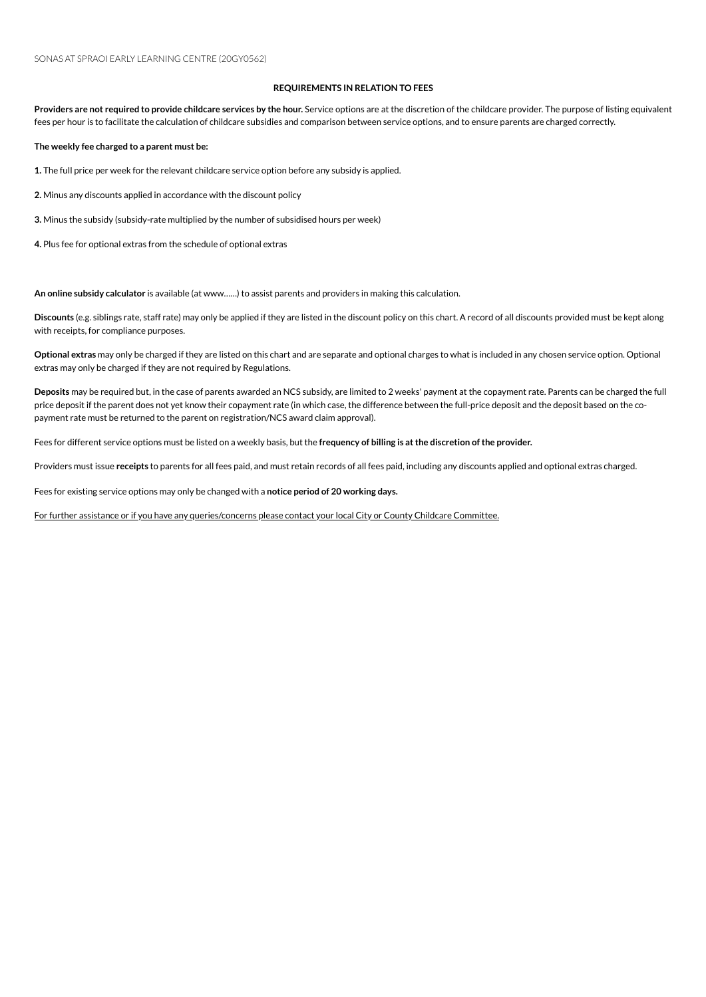## **REQUIREMENTS IN RELATION TO FEES**

Providers are not required to provide childcare services by the hour. Service options are at the discretion of the childcare provider. The purpose of listing equivalent fees per hour is to facilitate the calculation of childcare subsidies and comparison between service options, and to ensure parents are charged correctly.

**The weekly fee charged to a parent must be:**

1. The full price per week for the relevant childcare service option before any subsidy is applied.

2. Minus any discounts applied in accordance with the discount policy

**3.** Minus the subsidy (subsidy-rate multiplied by the number of subsidised hours per week)

4. Plus fee for optional extras from the schedule of optional extras

An online subsidy calculator is available (at www......) to assist parents and providers in making this calculation.

**Discounts** (e.g. siblings rate, staff rate) mayonly be applied if they are listed inthe discount policyonthis chart. A record of all discounts provided must be kept along with receipts, for compliance purposes.

**Optional extras** mayonly be charged if they are listed onthis chart and are separate and optional charges to what is included inany chosenserviceoption. Optional extras may only be charged if they are not required by Regulations.

Deposits may be required but, in the case of parents awarded an NCS subsidy, are limited to 2 weeks' payment at the copayment rate. Parents can be charged the full price deposit if the parent does not yet know their copayment rate (in which case, the difference between the full-price deposit and the deposit based on the copayment rate must be returned to the parent on registration/NCS award claim approval).

Fees for different serviceoptions must be listed ona weekly basis, but the **frequency of billing is atthe discretion ofthe provider.**

Providers must issue receipts to parents for all fees paid, and must retain records of all fees paid, including any discounts applied and optional extras charged.

Fees for existing service options may only be changed with a notice period of 20 working days.

For further assistance or if you have any queries/concerns please contact your local City or County Childcare Committee.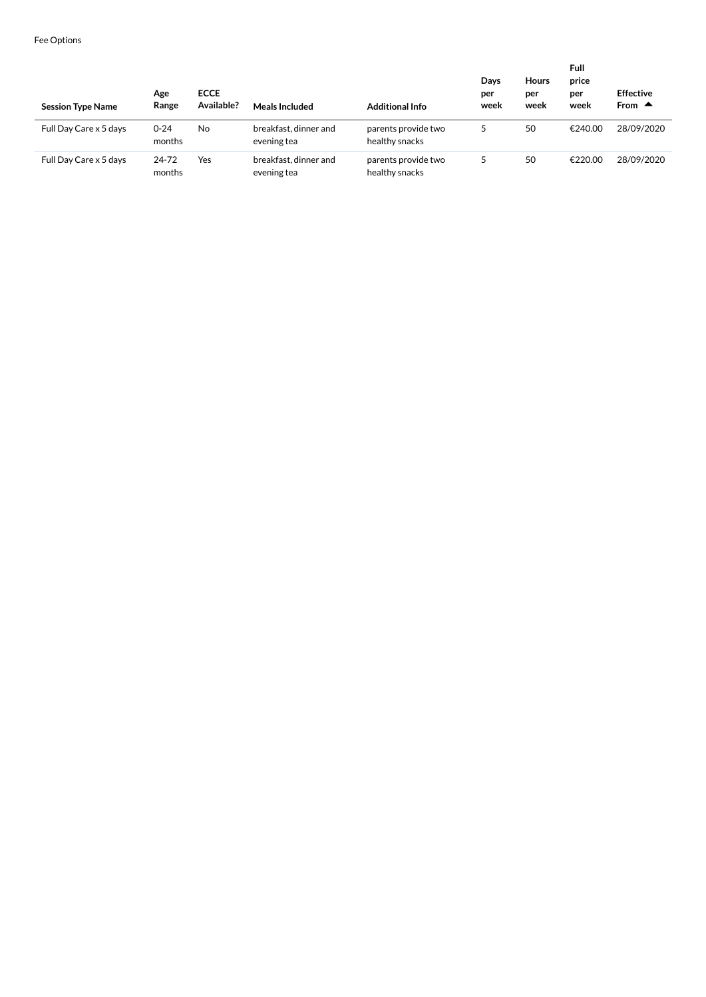| <b>Session Type Name</b> | Age<br>Range       | <b>ECCE</b><br>Available? | <b>Meals Included</b>                | <b>Additional Info</b>                | Days<br>per<br>week | <b>Hours</b><br>per<br>week | Full<br>price<br>per<br>week | <b>Effective</b><br>From $\triangle$ |
|--------------------------|--------------------|---------------------------|--------------------------------------|---------------------------------------|---------------------|-----------------------------|------------------------------|--------------------------------------|
| Full Day Care x 5 days   | $0 - 24$<br>months | No                        | breakfast, dinner and<br>evening tea | parents provide two<br>healthy snacks |                     | 50                          | €240.00                      | 28/09/2020                           |
| Full Day Care x 5 days   | 24-72<br>months    | Yes                       | breakfast, dinner and<br>evening tea | parents provide two<br>healthy snacks |                     | 50                          | €220.00                      | 28/09/2020                           |